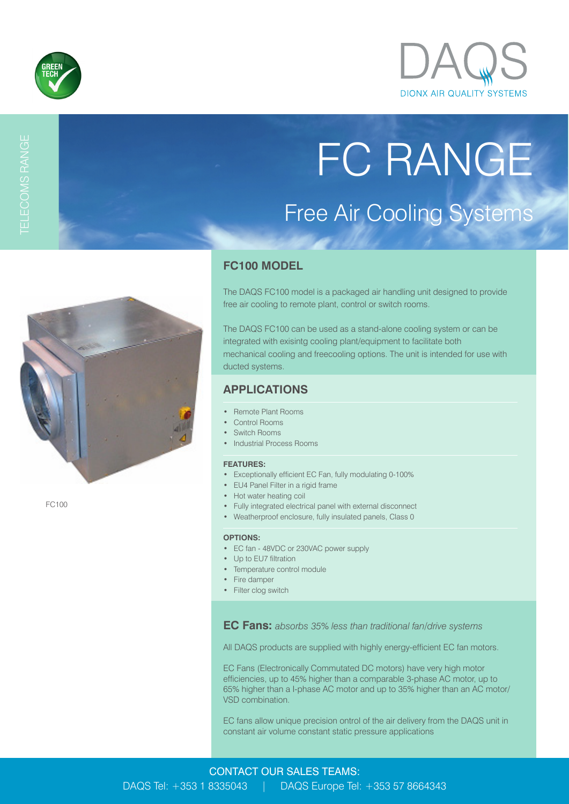



# TELECOMS RANGE

# FC RANGE Free Air Cooling Systems



FC100

# **FC100 MODEL**

The DAQS FC100 model is a packaged air handling unit designed to provide free air cooling to remote plant, control or switch rooms.

The DAQS FC100 can be used as a stand-alone cooling system or can be integrated with exisintg cooling plant/equipment to facilitate both mechanical cooling and freecooling options. The unit is intended for use with ducted systems.

## **APPLICATIONS**

- Remote Plant Rooms
- Control Rooms
- Switch Rooms
- Industrial Process Rooms

#### **FEATURES:**

- Exceptionally efficient EC Fan, fully modulating 0-100%
- EU4 Panel Filter in a rigid frame
- Hot water heating coil
- Fully integrated electrical panel with external disconnect
- Weatherproof enclosure, fully insulated panels, Class 0

#### **OPTIONS:**

- EC fan 48VDC or 230VAC power supply
- Up to EU7 filtration
- Temperature control module
- Fire damper
- Filter clog switch

**EC Fans:** *absorbs 35% less than traditional fan/drive systems*

All DAQS products are supplied with highly energy-efficient EC fan motors.

EC Fans (Electronically Commutated DC motors) have very high motor efficiencies, up to 45% higher than a comparable 3-phase AC motor, up to 65% higher than a I-phase AC motor and up to 35% higher than an AC motor/ VSD combination.

EC fans allow unique precision ontrol of the air delivery from the DAQS unit in constant air volume constant static pressure applications